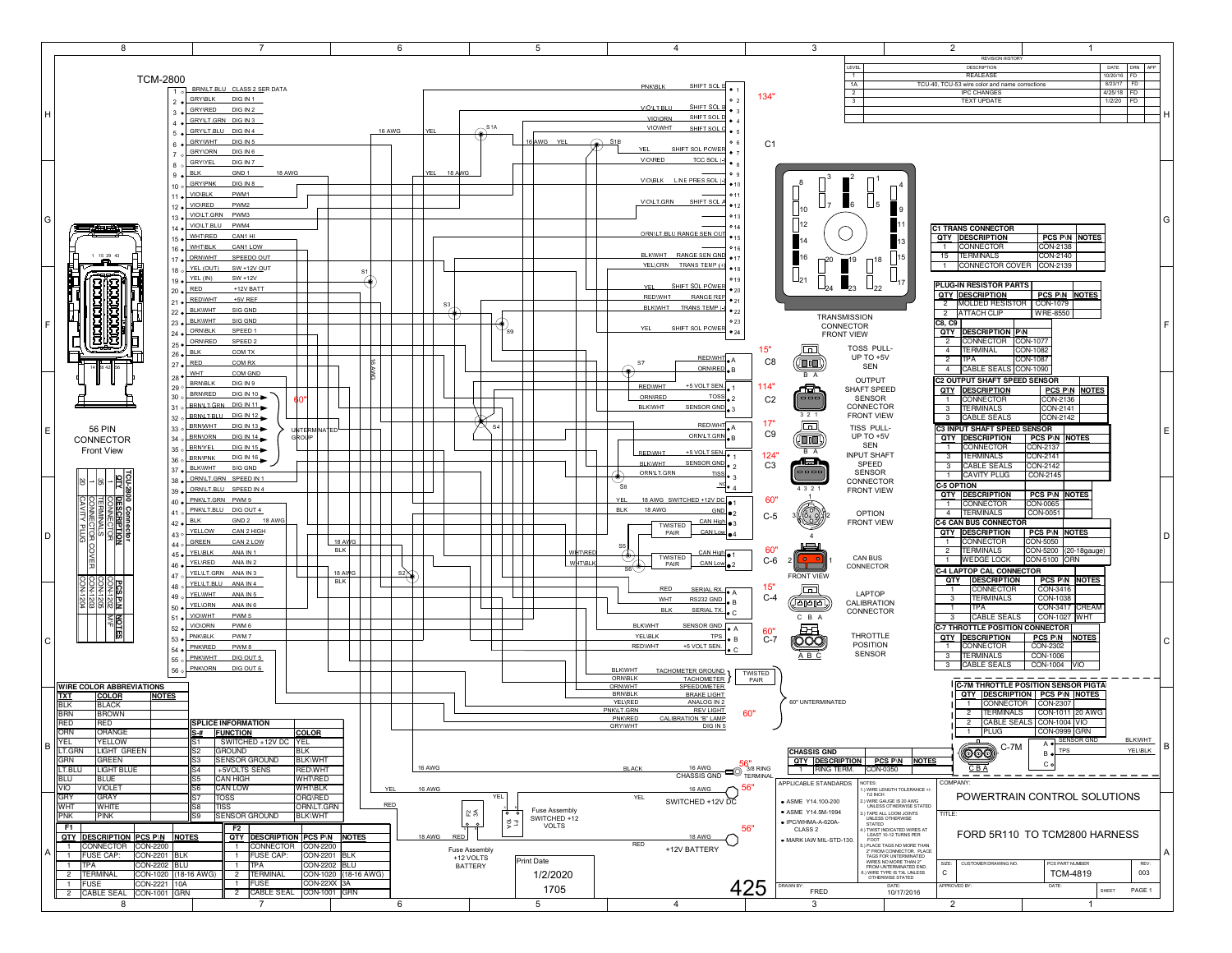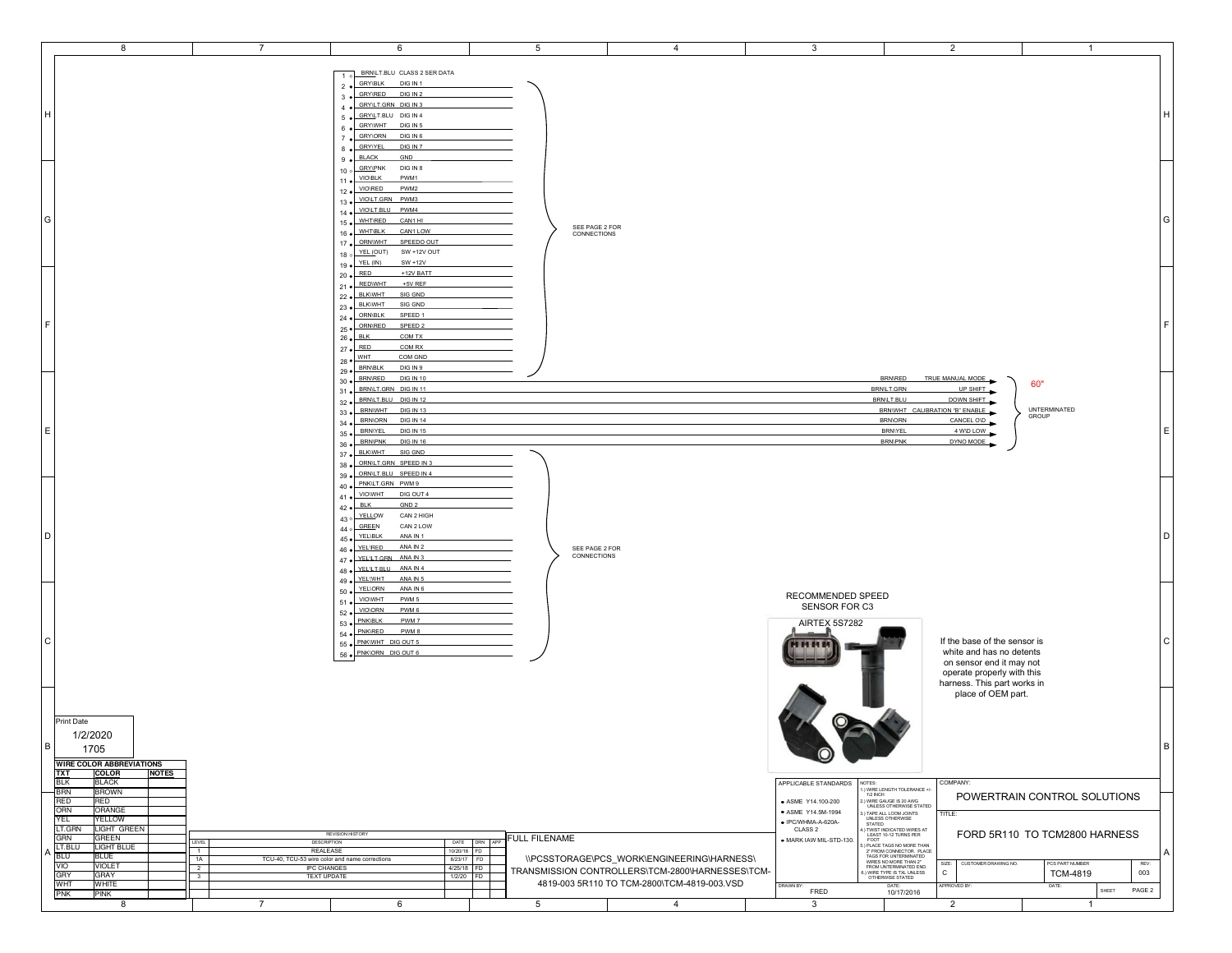| 8                                                                                                                                                                                                                                                                                                                                                                            | $\overline{7}$                                                                                                                                                                                             | 6                                                                                                                                                                                                                                                                                                                                                         | 5                                                                     | $\overline{4}$                                                                                        | $\mathbf{3}$                                                                                                                                                      | $\overline{2}$                                                                                                                                                                                                                                                                                                                                                                                                                                                                                    | $\mathbf{1}$                                                                                                                 |
|------------------------------------------------------------------------------------------------------------------------------------------------------------------------------------------------------------------------------------------------------------------------------------------------------------------------------------------------------------------------------|------------------------------------------------------------------------------------------------------------------------------------------------------------------------------------------------------------|-----------------------------------------------------------------------------------------------------------------------------------------------------------------------------------------------------------------------------------------------------------------------------------------------------------------------------------------------------------|-----------------------------------------------------------------------|-------------------------------------------------------------------------------------------------------|-------------------------------------------------------------------------------------------------------------------------------------------------------------------|---------------------------------------------------------------------------------------------------------------------------------------------------------------------------------------------------------------------------------------------------------------------------------------------------------------------------------------------------------------------------------------------------------------------------------------------------------------------------------------------------|------------------------------------------------------------------------------------------------------------------------------|
| H                                                                                                                                                                                                                                                                                                                                                                            |                                                                                                                                                                                                            | 1 o BRNLT.BLU CLASS 2 SER DATA<br>DIG IN 1<br><b>GRY\BLK</b><br>$2 \bullet$<br>GRY\RED<br>DIG IN 2<br>$3 \bullet$<br>4 . GRYLT.GRN DIG IN 3<br>5 CRYLT.BLU DIG IN 4<br>6 GRYWHT DIG IN 5<br>GRY\ORN DIG IN 6<br>7 <sub>o</sub><br>8 CRYVEL<br>DIG IN 7<br>GND<br><b>BLACK</b><br>$9 \bullet$                                                              |                                                                       |                                                                                                       |                                                                                                                                                                   |                                                                                                                                                                                                                                                                                                                                                                                                                                                                                                   |                                                                                                                              |
| G                                                                                                                                                                                                                                                                                                                                                                            |                                                                                                                                                                                                            | 10 o GRYVPNK<br>DIG IN 8<br><b>VIO\BLK</b><br>PWM1<br>$11 \bullet$<br>PWM2<br>12 · VIO\RED<br>13 . VIOLT.GRN PWM3<br>14 . VIOLT.BLU PWM4<br>15 . WHT\RED<br>CAN1 HI<br>16 · WHT\BLK<br>CAN1 LOW<br>SPEEDO OUT<br>17 ORNWHT<br>$18$ o $\times$ YEL (OUT)<br>SW +12V OUT                                                                                    | SEE PAGE 2 FOR<br>CONNECTIONS                                         |                                                                                                       |                                                                                                                                                                   |                                                                                                                                                                                                                                                                                                                                                                                                                                                                                                   | G                                                                                                                            |
| F.                                                                                                                                                                                                                                                                                                                                                                           |                                                                                                                                                                                                            | 19 · YEL (IN)<br>$SW + 12V$<br>$20 \bullet \overline{\overline{\text{RED}}}$<br>+12V BATT<br>21 . REDWHT<br>$+5V$ REF<br>22 · BLKWHT<br>SIG GND<br>23 . BLKWHT<br>SIG GND<br>ORNIBLK<br>SPEED 1<br>$24 \bullet$<br>SPEED 2<br>25 · ORNRED<br>$26 \bullet$ BLK<br>COM TX<br>$27 \bullet \overline{\overline{\text{RED}}}$<br>COM RX<br>28 · WHT<br>COM GND |                                                                       |                                                                                                       |                                                                                                                                                                   |                                                                                                                                                                                                                                                                                                                                                                                                                                                                                                   | E                                                                                                                            |
| E                                                                                                                                                                                                                                                                                                                                                                            |                                                                                                                                                                                                            | 29 · BRN\BLK<br>DIG IN 9<br>30 . BRN\RED<br><b>DIG IN 10</b><br>31 . BRNLT.GRN DIG IN 11<br>32 . BRNLT.BLU DIG IN 12<br>BRNWHT DIG IN 13<br>$33 \bullet$<br><b>BRNORN</b><br><b>DIG IN 14</b><br>$34 \bullet$<br><b>DIG IN 15</b><br>35 .BRNYEL<br>BRN\PNK DIG IN 16<br>$36 \bullet$<br>37 . BLKWHT SIG GND<br>38 . ORNLT.GRN SPEED IN 3                  |                                                                       |                                                                                                       |                                                                                                                                                                   | TRUE MANUAL MODE<br><b>BRN/RED</b><br>BRN/LT.GRN<br>UP SHIFT<br>BRN/LT.BLU<br>DOWN SHIFT<br>BRNWHT CALIBRATION "B" ENABLE<br><b>BRNIORN</b><br>CANCEL OVD<br><b>BRNIYEL</b><br>4 WD LOW<br><b>BRN\PNK</b><br>DYNO MODE                                                                                                                                                                                                                                                                            | 60"<br><b>UNTERMINATED</b><br>GROUP<br>l E                                                                                   |
| D                                                                                                                                                                                                                                                                                                                                                                            |                                                                                                                                                                                                            | 39 . ORNLT.BLU SPEED IN 4<br>PNK\LT.GRN PWM9<br>$40 \bullet$<br>41 . VIOWHT<br>DIG OUT 4<br>$42 \bullet \overline{\qquad \text{BLK}}$<br>GND <sub>2</sub><br>CAN 2 HIGH<br>43 o YELLOW<br>44 o GREEN<br>CAN 2 LOW<br>45 · YEL\BLK<br>ANA IN 1<br>46 · YELIRED<br>ANA IN 2<br>47 . YELLE GRN ANA IN 3<br>48 · YELLT.BLU ANA IN 4                           | SEE PAGE 2 FOR<br>CONNECTIONS                                         |                                                                                                       |                                                                                                                                                                   |                                                                                                                                                                                                                                                                                                                                                                                                                                                                                                   | l D.                                                                                                                         |
| $\mathsf{C}$<br>Print Date                                                                                                                                                                                                                                                                                                                                                   |                                                                                                                                                                                                            | 49 · YELWHT<br>ANA IN 5<br>50 · YELIORN<br>ANA IN 6<br>PWM 5<br>51 . VIOWHT<br>VIO\ORN<br>PWM 6<br>$52 \bullet$<br>PWM 7<br>PNK\BLK<br>$53 \bullet$<br>54 · PNKVRED<br>PWM8<br>55 · PNKWHT DIG OUT 5<br>56 · PNKORN DIG OUT 6                                                                                                                             |                                                                       |                                                                                                       | RECOMMENDED SPEED<br>SENSOR FOR C3<br>AIRTEX 5S7282<br>,,,,,                                                                                                      | If the base of the sensor is<br>white and has no detents<br>on sensor end it may not<br>operate properly with this<br>harness. This part works in<br>place of OEM part.                                                                                                                                                                                                                                                                                                                           | l C                                                                                                                          |
| 1/2/2020<br>B<br>1705<br><b>WIRE COLOR ABBREVIATIONS</b><br><b>TXT</b><br>COLOR<br><b>NOTES</b><br><b>BLK</b><br><b>BLACK</b><br><b>BRN</b><br><b>BROWN</b><br><b>RED</b><br>RED<br>ORN<br>ORANGE<br>YEL<br><b>AELTOM</b><br>LT.GRN<br>LIGHT GREEN<br>GRN<br>GREEN<br>LT.BLU<br><b>LIGHT BLUE</b><br><b>BLU</b><br><b>BLUE</b><br><b>VIO</b><br><b>VIOLET</b><br>GRY<br>GRAY | LEVEL<br>DESCRIPTION<br><b>REALEASE</b><br>$\overline{1}$<br>1A<br>TCU-40, TCU-53 wire color and name corrections<br>$\overline{2}$<br><b>IPC CHANGES</b><br><b>TEXT UPDATE</b><br>$\overline{\mathbf{3}}$ | <b>REVISION HISTORY</b><br>8/23/17<br>4/25/18                                                                                                                                                                                                                                                                                                             | FULL FILENAME<br>DATE DRN APP<br>10/20/16 FD<br>FD<br>FD<br>1/2/20 FD | <b>IIPCSSTORAGEIPCS WORKIENGINEERINGIHARNESSI</b><br>TRANSMISSION CONTROLLERS\TCM-2800\HARNESSES\TCM- | $\circledcirc$<br>APPLICABLE STANDARDS<br>NOTES:<br>· ASME Y14.100-200<br>• ASME Y14.5M-1994<br>· IPC/WHMA-A-620A-<br>CLASS <sub>2</sub><br>MARK IAW MIL-STD-130. | COMPANY:<br>1.) WIRE LENGTH TOLERANCE +<br>112 INCH<br>:) WIRE GAUGE IS 20 AWG<br>UNLESS OTHERWISE STATED<br>TAPE ALL LOOM JOINTS<br>TITLE:<br>3.) TAPE ALL LOOM JOINTS<br>STATED<br>STATED<br>4.) TWIST TO/ICATED WIRES AT<br>4.) TWIST TO/ICATED WIRES AT<br>EAST 10-12 TURNS PER<br>5.) PLACE TAGS NO MORE THAN<br>TAGS FOR UNTERMANTED ENG.<br>TAGS FOR UNTERMANTED<br>FROM LOTTERMANTED<br><br>SIZE: CUSTOMER DRAWING NO.<br>$\mathtt{C}$<br>3.) WIRE TYPE IS TXL UNLESS<br>OTHERWISE STATED | B<br>POWERTRAIN CONTROL SOLUTIONS<br>FORD 5R110 TO TCM2800 HARNESS<br>A<br>PCS PART NUMBER<br>REV:<br>003<br><b>TCM-4819</b> |
| WHT<br>WHITE<br>PINK<br><b>PNK</b><br>8                                                                                                                                                                                                                                                                                                                                      | $\overline{7}$                                                                                                                                                                                             | 6                                                                                                                                                                                                                                                                                                                                                         | $5\overline{5}$                                                       | 4819-003 5R110 TO TCM-2800\TCM-4819-003.VSD<br>$\overline{4}$                                         | DRAWN BY:<br>FRED<br>$\mathbf{3}$                                                                                                                                 | <b>PPROVED BY:</b><br>DATE:<br>10/17/2016<br>$\overline{2}$                                                                                                                                                                                                                                                                                                                                                                                                                                       | DATE:<br>SHEET<br>PAGE 2<br>$\mathbf{1}$                                                                                     |